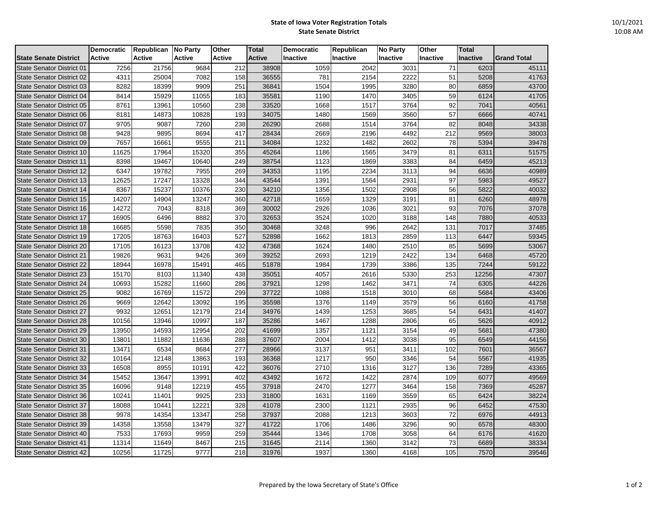## **State of Iowa Voter Registration Totals State Senate District**

|                                  | <b>Democratic</b> | Republican No Party |               | Other  | <b>Total</b>  | Democratic      | Republican      | <b>No Party</b> | Other           | Total    |                    |
|----------------------------------|-------------------|---------------------|---------------|--------|---------------|-----------------|-----------------|-----------------|-----------------|----------|--------------------|
| <b>State Senate District</b>     | <b>Active</b>     | <b>Active</b>       | <b>Active</b> | Active | <b>Active</b> | <b>Inactive</b> | <b>Inactive</b> | <b>Inactive</b> | <b>Inactive</b> | Inactive | <b>Grand Total</b> |
| State Senator District 01        | 7256              | 21756               | 9684          | 212    | 38908         | 1059            | 2042            | 3031            | 71              | 6203     | 45111              |
| <b>State Senator District 02</b> | 4311              | 25004               | 7082          | 158    | 36555         | 781             | 2154            | 2222            | 51              | 5208     | 41763              |
| State Senator District 03        | 8282              | 18399               | 9909          | 251    | 36841         | 1504            | 1995            | 3280            | 80              | 6859     | 43700              |
| State Senator District 04        | 8414              | 15929               | 11055         | 183    | 35581         | 1190            | 1470            | 3405            | 59              | 6124     | 41705              |
| <b>State Senator District 05</b> | 8761              | 13961               | 10560         | 238    | 33520         | 1668            | 1517            | 3764            | 92              | 7041     | 40561              |
| State Senator District 06        | 8181              | 14873               | 10828         | 193    | 34075         | 1480            | 1569            | 3560            | 57              | 6666     | 40741              |
| <b>State Senator District 07</b> | 9705              | 9087                | 7260          | 238    | 26290         | 2688            | 1514            | 3764            | 82              | 8048     | 34338              |
| State Senator District 08        | 9428              | 9895                | 8694          | 417    | 28434         | 2669            | 2196            | 4492            | 212             | 9569     | 38003              |
| State Senator District 09        | 7657              | 16661               | 9555          | 211    | 34084         | 1232            | 1482            | 2602            | 78              | 5394     | 39478              |
| State Senator District 10        | 11625             | 17964               | 15320         | 355    | 45264         | 1186            | 1565            | 3479            | 81              | 6311     | 51575              |
| State Senator District 11        | 8398              | 19467               | 10640         | 249    | 38754         | 1123            | 1869            | 3383            | 84              | 6459     | 45213              |
| <b>State Senator District 12</b> | 6347              | 19782               | 7955          | 269    | 34353         | 1195            | 2234            | 3113            | 94              | 6636     | 40989              |
| State Senator District 13        | 12625             | 17247               | 13328         | 344    | 43544         | 1391            | 1564            | 2931            | 97              | 5983     | 49527              |
| State Senator District 14        | 8367              | 15237               | 10376         | 230    | 34210         | 1356            | 1502            | 2908            | 56              | 5822     | 40032              |
| <b>State Senator District 15</b> | 14207             | 14904               | 13247         | 360    | 42718         | 1659            | 1329            | 3191            | 81              | 6260     | 48978              |
| <b>State Senator District 16</b> | 14272             | 7043                | 8318          | 369    | 30002         | 2926            | 1036            | 3021            | 93              | 7076     | 37078              |
| <b>State Senator District 17</b> | 16905             | 6496                | 8882          | 370    | 32653         | 3524            | 1020            | 3188            | 148             | 7880     | 40533              |
| <b>State Senator District 18</b> | 16685             | 5598                | 7835          | 350    | 30468         | 3248            | 996             | 2642            | 131             | 7017     | 37485              |
| State Senator District 19        | 17205             | 18763               | 16403         | 527    | 52898         | 1662            | 1813            | 2859            | 113             | 6447     | 59345              |
| <b>State Senator District 20</b> | 17105             | 16123               | 13708         | 432    | 47368         | 1624            | 1480            | 2510            | 85              | 5699     | 53067              |
| State Senator District 21        | 19826             | 9631                | 9426          | 369    | 39252         | 2693            | 1219            | 2422            | 134             | 6468     | 45720              |
| <b>State Senator District 22</b> | 18944             | 16978               | 15491         | 465    | 51878         | 1984            | 1739            | 3386            | 135             | 7244     | 59122              |
| <b>State Senator District 23</b> | 15170             | 8103                | 11340         | 438    | 35051         | 4057            | 2616            | 5330            | 253             | 12256    | 47307              |
| <b>State Senator District 24</b> | 10693             | 15282               | 11660         | 286    | 37921         | 1298            | 1462            | 3471            | 74              | 6305     | 44226              |
| <b>State Senator District 25</b> | 9082              | 16769               | 11572         | 299    | 37722         | 1088            | 1518            | 3010            | 68              | 5684     | 43406              |
| State Senator District 26        | 9669              | 12642               | 13092         | 195    | 35598         | 1376            | 1149            | 3579            | 56              | 6160     | 41758              |
| <b>State Senator District 27</b> | 9932              | 12651               | 12179         | 214    | 34976         | 1439            | 1253            | 3685            | 54              | 6431     | 41407              |
| <b>State Senator District 28</b> | 10156             | 13946               | 10997         | 187    | 35286         | 1467            | 1288            | 2806            | 65              | 5626     | 40912              |
| <b>State Senator District 29</b> | 13950             | 14593               | 12954         | 202    | 41699         | 1357            | 1121            | 3154            | 49              | 5681     | 47380              |
| <b>State Senator District 30</b> | 13801             | 11882               | 11636         | 288    | 37607         | 2004            | 1412            | 3038            | 95              | 6549     | 44156              |
| <b>State Senator District 31</b> | 13471             | 6534                | 8684          | 277    | 28966         | 3137            | 951             | 3411            | 102             | 7601     | 36567              |
| <b>State Senator District 32</b> | 10164             | 12148               | 13863         | 193    | 36368         | 1217            | 950             | 3346            | 54              | 5567     | 41935              |
| State Senator District 33        | 16508             | 8955                | 10191         | 422    | 36076         | 2710            | 1316            | 3127            | 136             | 7289     | 43365              |
| State Senator District 34        | 15452             | 13647               | 13991         | 402    | 43492         | 1672            | 1422            | 2874            | 109             | 6077     | 49569              |
| <b>State Senator District 35</b> | 16096             | 9148                | 12219         | 455    | 37918         | 2470            | 1277            | 3464            | 158             | 7369     | 45287              |
| State Senator District 36        | 10241             | 11401               | 9925          | 233    | 31800         | 1631            | 1169            | 3559            | 65              | 6424     | 38224              |
| <b>State Senator District 37</b> | 18088             | 10441               | 12221         | 328    | 41078         | 2300            | 1121            | 2935            | 96              | 6452     | 47530              |
| <b>State Senator District 38</b> | 9978              | 14354               | 13347         | 258    | 37937         | 2088            | 1213            | 3603            | 72              | 6976     | 44913              |
| <b>State Senator District 39</b> | 14358             | 13558               | 13479         | 327    | 41722         | 1706            | 1486            | 3296            | 90              | 6578     | 48300              |
| <b>State Senator District 40</b> | 7533              | 17693               | 9959          | 259    | 35444         | 1346            | 1708            | 3058            | 64              | 6176     | 41620              |
| State Senator District 41        | 11314             | 11649               | 8467          | 215    | 31645         | 2114            | 1360            | 3142            | 73              | 6689     | 38334              |
| <b>State Senator District 42</b> | 10256             | 11725               | 9777          | 218    | 31976         | 1937            | 1360            | 4168            | 105             | 7570     | 39546              |